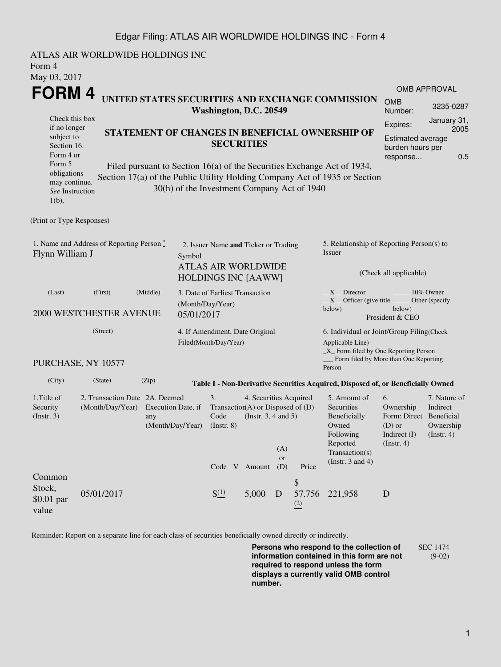## Edgar Filing: ATLAS AIR WORLDWIDE HOLDINGS INC - Form 4

| Form 4<br>May 03, 2017                                                                                                                                                                                                                                                                                                         | ATLAS AIR WORLDWIDE HOLDINGS INC                   |                                                 |                                                         |                                                                                                  |                                                    |                         |                                                                                                         |                                                                                                                         |                                                                                            |                                                      |  |
|--------------------------------------------------------------------------------------------------------------------------------------------------------------------------------------------------------------------------------------------------------------------------------------------------------------------------------|----------------------------------------------------|-------------------------------------------------|---------------------------------------------------------|--------------------------------------------------------------------------------------------------|----------------------------------------------------|-------------------------|---------------------------------------------------------------------------------------------------------|-------------------------------------------------------------------------------------------------------------------------|--------------------------------------------------------------------------------------------|------------------------------------------------------|--|
| FORM 4                                                                                                                                                                                                                                                                                                                         |                                                    |                                                 |                                                         |                                                                                                  |                                                    |                         |                                                                                                         |                                                                                                                         |                                                                                            | <b>OMB APPROVAL</b>                                  |  |
|                                                                                                                                                                                                                                                                                                                                |                                                    |                                                 |                                                         | Washington, D.C. 20549                                                                           |                                                    |                         |                                                                                                         | UNITED STATES SECURITIES AND EXCHANGE COMMISSION                                                                        | <b>OMB</b><br>Number:                                                                      | 3235-0287                                            |  |
| Check this box<br>if no longer<br>subject to                                                                                                                                                                                                                                                                                   |                                                    | STATEMENT OF CHANGES IN BENEFICIAL OWNERSHIP OF |                                                         |                                                                                                  |                                                    |                         |                                                                                                         |                                                                                                                         | January 31,<br>Expires:<br>2005<br><b>Estimated average</b>                                |                                                      |  |
| <b>SECURITIES</b><br>Section 16.<br>Form 4 or<br>Form 5<br>Filed pursuant to Section 16(a) of the Securities Exchange Act of 1934,<br>obligations<br>Section 17(a) of the Public Utility Holding Company Act of 1935 or Section<br>may continue.<br>30(h) of the Investment Company Act of 1940<br>See Instruction<br>$1(b)$ . |                                                    |                                                 |                                                         |                                                                                                  |                                                    |                         | burden hours per<br>response                                                                            | 0.5                                                                                                                     |                                                                                            |                                                      |  |
| (Print or Type Responses)                                                                                                                                                                                                                                                                                                      |                                                    |                                                 |                                                         |                                                                                                  |                                                    |                         |                                                                                                         |                                                                                                                         |                                                                                            |                                                      |  |
| 1. Name and Address of Reporting Person *<br>Flynn William J<br>Symbol                                                                                                                                                                                                                                                         |                                                    |                                                 |                                                         | 2. Issuer Name and Ticker or Trading<br><b>ATLAS AIR WORLDWIDE</b><br><b>HOLDINGS INC [AAWW]</b> |                                                    |                         |                                                                                                         | 5. Relationship of Reporting Person(s) to<br>Issuer<br>(Check all applicable)                                           |                                                                                            |                                                      |  |
| (First)<br>(Middle)<br>(Last)<br><b>2000 WESTCHESTER AVENUE</b>                                                                                                                                                                                                                                                                |                                                    |                                                 |                                                         | 3. Date of Earliest Transaction<br>(Month/Day/Year)<br>05/01/2017                                |                                                    |                         |                                                                                                         | $X$ Director<br>10% Owner<br>$X$ Officer (give title $\_\_\_\$ Other (specify<br>below)<br>below)<br>President & CEO    |                                                                                            |                                                      |  |
| (Street)                                                                                                                                                                                                                                                                                                                       |                                                    |                                                 | 4. If Amendment, Date Original<br>Filed(Month/Day/Year) |                                                                                                  |                                                    |                         | 6. Individual or Joint/Group Filing(Check<br>Applicable Line)<br>_X_ Form filed by One Reporting Person |                                                                                                                         |                                                                                            |                                                      |  |
|                                                                                                                                                                                                                                                                                                                                | PURCHASE, NY 10577                                 |                                                 |                                                         |                                                                                                  |                                                    |                         |                                                                                                         | Form filed by More than One Reporting<br>Person                                                                         |                                                                                            |                                                      |  |
| (City)                                                                                                                                                                                                                                                                                                                         | (State)                                            | (Zip)                                           |                                                         |                                                                                                  |                                                    |                         |                                                                                                         | Table I - Non-Derivative Securities Acquired, Disposed of, or Beneficially Owned                                        |                                                                                            |                                                      |  |
| 1.Title of<br>Security<br>(Insert. 3)                                                                                                                                                                                                                                                                                          | 2. Transaction Date 2A. Deemed<br>(Month/Day/Year) | Execution Date, if<br>any<br>(Month/Day/Year)   |                                                         | 3.<br>Transaction(A) or Disposed of $(D)$<br>Code<br>$($ Instr. $8)$<br>Code V Amount            | 4. Securities Acquired<br>(Instr. $3, 4$ and $5$ ) | (A)<br><b>or</b><br>(D) | Price                                                                                                   | 5. Amount of<br>Securities<br>Beneficially<br>Owned<br>Following<br>Reported<br>Transaction(s)<br>(Instr. $3$ and $4$ ) | 6.<br>Ownership<br>Form: Direct Beneficial<br>$(D)$ or<br>Indirect (I)<br>$($ Instr. 4 $)$ | 7. Nature of<br>Indirect<br>Ownership<br>(Insert. 4) |  |
| Common<br>Stock,<br>$$0.01$ par<br>value                                                                                                                                                                                                                                                                                       | 05/01/2017                                         |                                                 |                                                         | $S^{(1)}_{-}$                                                                                    | 5,000                                              | D                       | \$<br>57.756<br>$\frac{(2)}{2}$                                                                         | 221,958                                                                                                                 | D                                                                                          |                                                      |  |

Reminder: Report on a separate line for each class of securities beneficially owned directly or indirectly.

**Persons who respond to the collection of information contained in this form are not required to respond unless the form displays a currently valid OMB control number.** SEC 1474 (9-02)